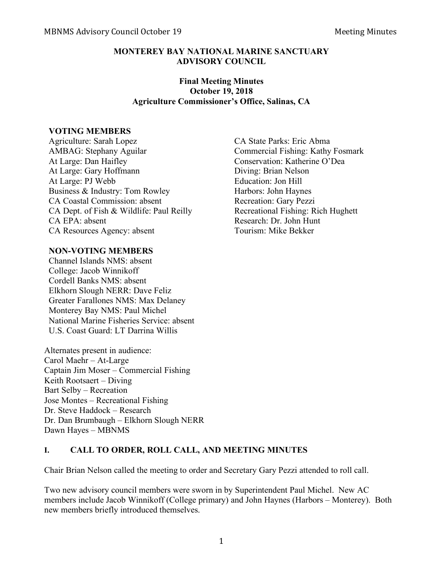## **MONTEREY BAY NATIONAL MARINE SANCTUARY ADVISORY COUNCIL**

#### **Final Meeting Minutes October 19, 2018 Agriculture Commissioner's Office, Salinas, CA**

#### **VOTING MEMBERS**

Agriculture: Sarah Lopez CA State Parks: Eric Abma AMBAG: Stephany Aguilar Commercial Fishing: Kathy Fosmark At Large: Dan Haifley Conservation: Katherine O'Dea At Large: Gary Hoffmann Diving: Brian Nelson At Large: PJ Webb Education: Jon Hill Business & Industry: Tom Rowley Harbors: John Haynes CA Coastal Commission: absent Recreation: Gary Pezzi CA Dept. of Fish & Wildlife: Paul Reilly Recreational Fishing: Rich Hughett CA EPA: absent Research: Dr. John Hunt CA Resources Agency: absent Tourism: Mike Bekker

## **NON-VOTING MEMBERS**

Channel Islands NMS: absent College: Jacob Winnikoff Cordell Banks NMS: absent Elkhorn Slough NERR: Dave Feliz Greater Farallones NMS: Max Delaney Monterey Bay NMS: Paul Michel National Marine Fisheries Service: absent U.S. Coast Guard: LT Darrina Willis

Alternates present in audience: Carol Maehr – At-Large Captain Jim Moser – Commercial Fishing Keith Rootsaert – Diving Bart Selby – Recreation Jose Montes – Recreational Fishing Dr. Steve Haddock – Research Dr. Dan Brumbaugh – Elkhorn Slough NERR Dawn Hayes – MBNMS

## **I. CALL TO ORDER, ROLL CALL, AND MEETING MINUTES**

Chair Brian Nelson called the meeting to order and Secretary Gary Pezzi attended to roll call.

Two new advisory council members were sworn in by Superintendent Paul Michel. New AC members include Jacob Winnikoff (College primary) and John Haynes (Harbors – Monterey). Both new members briefly introduced themselves.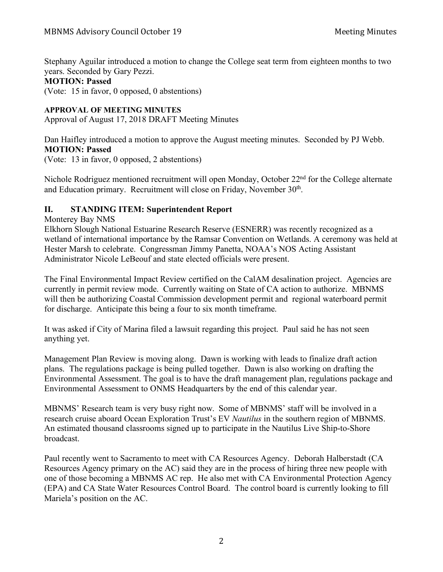Stephany Aguilar introduced a motion to change the College seat term from eighteen months to two years. Seconded by Gary Pezzi.

#### **MOTION: Passed**

(Vote: 15 in favor, 0 opposed, 0 abstentions)

#### **APPROVAL OF MEETING MINUTES**

Approval of August 17, 2018 DRAFT Meeting Minutes

Dan Haifley introduced a motion to approve the August meeting minutes. Seconded by PJ Webb. **MOTION: Passed**

(Vote: 13 in favor, 0 opposed, 2 abstentions)

Nichole Rodriguez mentioned recruitment will open Monday, October 22<sup>nd</sup> for the College alternate and Education primary. Recruitment will close on Friday, November 30<sup>th</sup>.

## **II. STANDING ITEM: Superintendent Report**

Monterey Bay NMS

Elkhorn Slough National Estuarine Research Reserve (ESNERR) was recently recognized as a wetland of international importance by the Ramsar Convention on Wetlands. A ceremony was held at Hester Marsh to celebrate. Congressman Jimmy Panetta, NOAA's NOS Acting Assistant Administrator Nicole LeBeouf and state elected officials were present.

The Final Environmental Impact Review certified on the CalAM desalination project. Agencies are currently in permit review mode. Currently waiting on State of CA action to authorize. MBNMS will then be authorizing Coastal Commission development permit and regional waterboard permit for discharge. Anticipate this being a four to six month timeframe.

It was asked if City of Marina filed a lawsuit regarding this project. Paul said he has not seen anything yet.

Management Plan Review is moving along. Dawn is working with leads to finalize draft action plans. The regulations package is being pulled together. Dawn is also working on drafting the Environmental Assessment. The goal is to have the draft management plan, regulations package and Environmental Assessment to ONMS Headquarters by the end of this calendar year.

MBNMS' Research team is very busy right now. Some of MBNMS' staff will be involved in a research cruise aboard Ocean Exploration Trust's EV *Nautilus* in the southern region of MBNMS. An estimated thousand classrooms signed up to participate in the Nautilus Live Ship-to-Shore broadcast.

Paul recently went to Sacramento to meet with CA Resources Agency. Deborah Halberstadt (CA Resources Agency primary on the AC) said they are in the process of hiring three new people with one of those becoming a MBNMS AC rep. He also met with CA Environmental Protection Agency (EPA) and CA State Water Resources Control Board. The control board is currently looking to fill Mariela's position on the AC.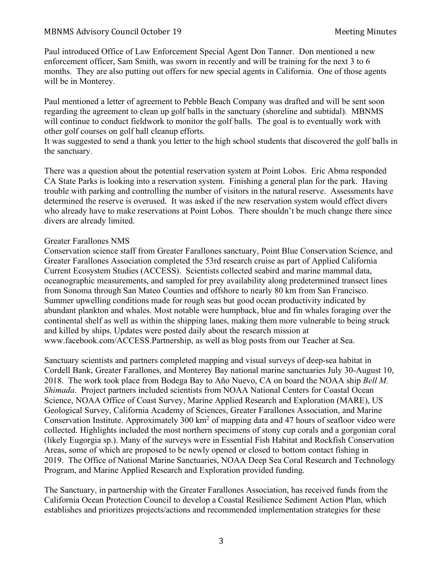Paul introduced Office of Law Enforcement Special Agent Don Tanner. Don mentioned a new enforcement officer, Sam Smith, was sworn in recently and will be training for the next 3 to 6 months. They are also putting out offers for new special agents in California. One of those agents will be in Monterey.

Paul mentioned a letter of agreement to Pebble Beach Company was drafted and will be sent soon regarding the agreement to clean up golf balls in the sanctuary (shoreline and subtidal). MBNMS will continue to conduct fieldwork to monitor the golf balls. The goal is to eventually work with other golf courses on golf ball cleanup efforts.

It was suggested to send a thank you letter to the high school students that discovered the golf balls in the sanctuary.

There was a question about the potential reservation system at Point Lobos. Eric Abma responded CA State Parks is looking into a reservation system. Finishing a general plan for the park. Having trouble with parking and controlling the number of visitors in the natural reserve. Assessments have determined the reserve is overused. It was asked if the new reservation system would effect divers who already have to make reservations at Point Lobos. There shouldn't be much change there since divers are already limited.

#### Greater Farallones NMS

Conservation science staff from Greater Farallones sanctuary, Point Blue Conservation Science, and Greater Farallones Association completed the 53rd research cruise as part of Applied California Current Ecosystem Studies (ACCESS). Scientists collected seabird and marine mammal data, oceanographic measurements, and sampled for prey availability along predetermined transect lines from Sonoma through San Mateo Counties and offshore to nearly 80 km from San Francisco. Summer upwelling conditions made for rough seas but good ocean productivity indicated by abundant plankton and whales. Most notable were humpback, blue and fin whales foraging over the continental shelf as well as within the shipping lanes, making them more vulnerable to being struck and killed by ships. Updates were posted daily about the research mission at www.facebook.com/ACCESS.Partnership, as well as blog posts from our Teacher at Sea.

Sanctuary scientists and partners completed mapping and visual surveys of deep-sea habitat in Cordell Bank, Greater Farallones, and Monterey Bay national marine sanctuaries July 30-August 10, 2018. The work took place from Bodega Bay to Año Nuevo, CA on board the NOAA ship *Bell M. Shimada*. Project partners included scientists from NOAA National Centers for Coastal Ocean Science, NOAA Office of Coast Survey, Marine Applied Research and Exploration (MARE), US Geological Survey, California Academy of Sciences, Greater Farallones Association, and Marine Conservation Institute. Approximately 300 km<sup>2</sup> of mapping data and 47 hours of seafloor video were collected. Highlights included the most northern specimens of stony cup corals and a gorgonian coral (likely Eugorgia sp.). Many of the surveys were in Essential Fish Habitat and Rockfish Conservation Areas, some of which are proposed to be newly opened or closed to bottom contact fishing in 2019. The Office of National Marine Sanctuaries, NOAA Deep Sea Coral Research and Technology Program, and Marine Applied Research and Exploration provided funding.

The Sanctuary, in partnership with the Greater Farallones Association, has received funds from the California Ocean Protection Council to develop a Coastal Resilience Sediment Action Plan, which establishes and prioritizes projects/actions and recommended implementation strategies for these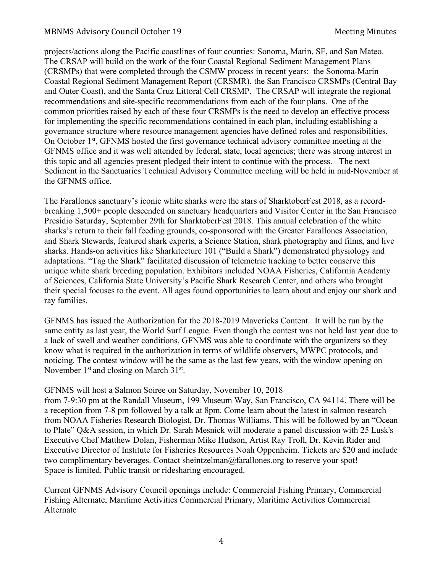projects/actions along the Pacific coastlines of four counties: Sonoma, Marin, SF, and San Mateo. The CRSAP will build on the work of the four Coastal Regional Sediment Management Plans (CRSMPs) that were completed through the CSMW process in recent years: the Sonoma-Marin Coastal Regional Sediment Management Report (CRSMR), the San Francisco CRSMPs (Central Bay and Outer Coast), and the Santa Cruz Littoral Cell CRSMP. The CRSAP will integrate the regional recommendations and site-specific recommendations from each of the four plans. One of the common priorities raised by each of these four CRSMPs is the need to develop an effective process for implementing the specific recommendations contained in each plan, including establishing a governance structure where resource management agencies have defined roles and responsibilities. On October 1st, GFNMS hosted the first governance technical advisory committee meeting at the GFNMS office and it was well attended by federal, state, local agencies; there was strong interest in this topic and all agencies present pledged their intent to continue with the process. The next Sediment in the Sanctuaries Technical Advisory Committee meeting will be held in mid-November at the GFNMS office.

The Farallones sanctuary's iconic white sharks were the stars of SharktoberFest 2018, as a recordbreaking 1,500+ people descended on sanctuary headquarters and Visitor Center in the San Francisco Presidio Saturday, September 29th for SharktoberFest 2018. This annual celebration of the white sharks's return to their fall feeding grounds, co-sponsored with the Greater Farallones Association, and Shark Stewards, featured shark experts, a Science Station, shark photography and films, and live sharks. Hands-on activities like Sharkitecture 101 ("Build a Shark") demonstrated physiology and adaptations. "Tag the Shark" facilitated discussion of telemetric tracking to better conserve this unique white shark breeding population. Exhibitors included NOAA Fisheries, California Academy of Sciences, California State University's Pacific Shark Research Center, and others who brought their special focuses to the event. All ages found opportunities to learn about and enjoy our shark and ray families.

GFNMS has issued the Authorization for the 2018-2019 Mavericks Content. It will be run by the same entity as last year, the World Surf League. Even though the contest was not held last year due to a lack of swell and weather conditions, GFNMS was able to coordinate with the organizers so they know what is required in the authorization in terms of wildlife observers, MWPC protocols, and noticing. The contest window will be the same as the last few years, with the window opening on November  $1<sup>st</sup>$  and closing on March  $31<sup>st</sup>$ .

#### GFNMS will host a Salmon Soiree on Saturday, November 10, 2018

from 7-9:30 pm at the Randall Museum, 199 Museum Way, San Francisco, CA 94114. There will be a reception from 7-8 pm followed by a talk at 8pm. Come learn about the latest in salmon research from NOAA Fisheries Research Biologist, Dr. Thomas Williams. This will be followed by an "Ocean to Plate" Q&A session, in which Dr. Sarah Mesnick will moderate a panel discussion with 25 Lusk's Executive Chef Matthew Dolan, Fisherman Mike Hudson, Artist Ray Troll, Dr. Kevin Rider and Executive Director of Institute for Fisheries Resources Noah Oppenheim. Tickets are \$20 and include two complimentary beverages. Contact sheintzelman@farallones.org to reserve your spot! Space is limited. Public transit or ridesharing encouraged.

Current GFNMS Advisory Council openings include: Commercial Fishing Primary, Commercial Fishing Alternate, Maritime Activities Commercial Primary, Maritime Activities Commercial Alternate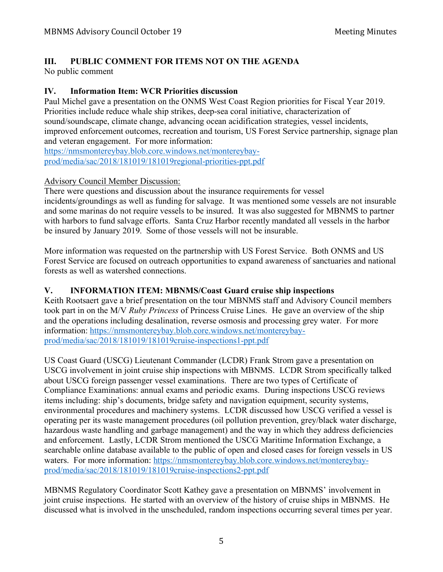# **III. PUBLIC COMMENT FOR ITEMS NOT ON THE AGENDA**

No public comment

# **IV. Information Item: WCR Priorities discussion**

Paul Michel gave a presentation on the ONMS West Coast Region priorities for Fiscal Year 2019. Priorities include reduce whale ship strikes, deep-sea coral initiative, characterization of sound/soundscape, climate change, advancing ocean acidification strategies, vessel incidents, improved enforcement outcomes, recreation and tourism, US Forest Service partnership, signage plan and veteran engagement. For more information:

https://nmsmontereybay.blob.core.windows.net/montereybayprod/media/sac/2018/181019/181019regional-priorities-ppt.pdf

## Advisory Council Member Discussion:

There were questions and discussion about the insurance requirements for vessel incidents/groundings as well as funding for salvage. It was mentioned some vessels are not insurable and some marinas do not require vessels to be insured. It was also suggested for MBNMS to partner with harbors to fund salvage efforts. Santa Cruz Harbor recently mandated all vessels in the harbor be insured by January 2019. Some of those vessels will not be insurable.

More information was requested on the partnership with US Forest Service. Both ONMS and US Forest Service are focused on outreach opportunities to expand awareness of sanctuaries and national forests as well as watershed connections.

## **V. INFORMATION ITEM: MBNMS/Coast Guard cruise ship inspections**

Keith Rootsaert gave a brief presentation on the tour MBNMS staff and Advisory Council members took part in on the M/V *Ruby Princess* of Princess Cruise Lines. He gave an overview of the ship and the operations including desalination, reverse osmosis and processing grey water. For more information: https://nmsmontereybay.blob.core.windows.net/montereybayprod/media/sac/2018/181019/181019cruise-inspections1-ppt.pdf

US Coast Guard (USCG) Lieutenant Commander (LCDR) Frank Strom gave a presentation on USCG involvement in joint cruise ship inspections with MBNMS. LCDR Strom specifically talked about USCG foreign passenger vessel examinations. There are two types of Certificate of Compliance Examinations: annual exams and periodic exams. During inspections USCG reviews items including: ship's documents, bridge safety and navigation equipment, security systems, environmental procedures and machinery systems. LCDR discussed how USCG verified a vessel is operating per its waste management procedures (oil pollution prevention, grey/black water discharge, hazardous waste handling and garbage management) and the way in which they address deficiencies and enforcement. Lastly, LCDR Strom mentioned the USCG Maritime Information Exchange, a searchable online database available to the public of open and closed cases for foreign vessels in US waters. For more information: https://nmsmontereybay.blob.core.windows.net/montereybayprod/media/sac/2018/181019/181019cruise-inspections2-ppt.pdf

MBNMS Regulatory Coordinator Scott Kathey gave a presentation on MBNMS' involvement in joint cruise inspections. He started with an overview of the history of cruise ships in MBNMS. He discussed what is involved in the unscheduled, random inspections occurring several times per year.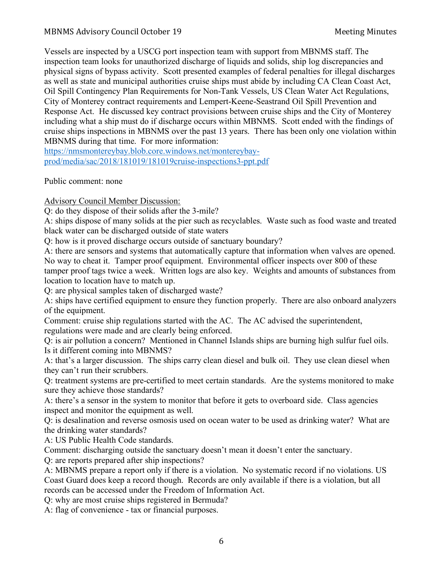Vessels are inspected by a USCG port inspection team with support from MBNMS staff. The inspection team looks for unauthorized discharge of liquids and solids, ship log discrepancies and physical signs of bypass activity. Scott presented examples of federal penalties for illegal discharges as well as state and municipal authorities cruise ships must abide by including CA Clean Coast Act, Oil Spill Contingency Plan Requirements for Non-Tank Vessels, US Clean Water Act Regulations, City of Monterey contract requirements and Lempert-Keene-Seastrand Oil Spill Prevention and Response Act. He discussed key contract provisions between cruise ships and the City of Monterey including what a ship must do if discharge occurs within MBNMS. Scott ended with the findings of cruise ships inspections in MBNMS over the past 13 years. There has been only one violation within MBNMS during that time. For more information:

https://nmsmontereybay.blob.core.windows.net/montereybayprod/media/sac/2018/181019/181019cruise-inspections3-ppt.pdf

Public comment: none

Advisory Council Member Discussion:

Q: do they dispose of their solids after the 3-mile?

A: ships dispose of many solids at the pier such as recyclables. Waste such as food waste and treated black water can be discharged outside of state waters

Q: how is it proved discharge occurs outside of sanctuary boundary?

A: there are sensors and systems that automatically capture that information when valves are opened. No way to cheat it. Tamper proof equipment. Environmental officer inspects over 800 of these tamper proof tags twice a week. Written logs are also key. Weights and amounts of substances from location to location have to match up.

Q: are physical samples taken of discharged waste?

A: ships have certified equipment to ensure they function properly. There are also onboard analyzers of the equipment.

Comment: cruise ship regulations started with the AC. The AC advised the superintendent, regulations were made and are clearly being enforced.

Q: is air pollution a concern? Mentioned in Channel Islands ships are burning high sulfur fuel oils. Is it different coming into MBNMS?

A: that's a larger discussion. The ships carry clean diesel and bulk oil. They use clean diesel when they can't run their scrubbers.

Q: treatment systems are pre-certified to meet certain standards. Are the systems monitored to make sure they achieve those standards?

A: there's a sensor in the system to monitor that before it gets to overboard side. Class agencies inspect and monitor the equipment as well.

Q: is desalination and reverse osmosis used on ocean water to be used as drinking water? What are the drinking water standards?

A: US Public Health Code standards.

Comment: discharging outside the sanctuary doesn't mean it doesn't enter the sanctuary.

Q: are reports prepared after ship inspections?

A: MBNMS prepare a report only if there is a violation. No systematic record if no violations. US Coast Guard does keep a record though. Records are only available if there is a violation, but all records can be accessed under the Freedom of Information Act.

Q: why are most cruise ships registered in Bermuda?

A: flag of convenience - tax or financial purposes.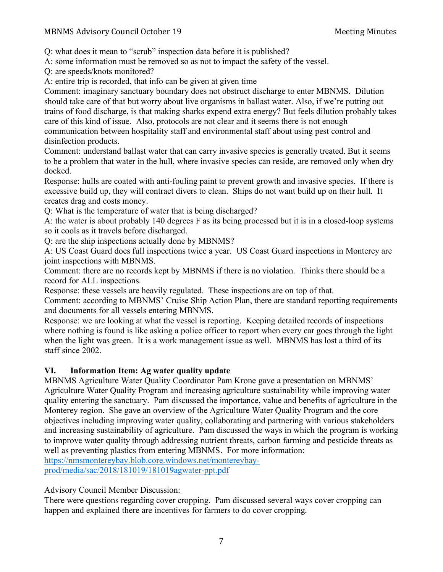Q: what does it mean to "scrub" inspection data before it is published?

A: some information must be removed so as not to impact the safety of the vessel.

Q: are speeds/knots monitored?

A: entire trip is recorded, that info can be given at given time

Comment: imaginary sanctuary boundary does not obstruct discharge to enter MBNMS. Dilution should take care of that but worry about live organisms in ballast water. Also, if we're putting out trains of food discharge, is that making sharks expend extra energy? But feels dilution probably takes care of this kind of issue. Also, protocols are not clear and it seems there is not enough communication between hospitality staff and environmental staff about using pest control and disinfection products.

Comment: understand ballast water that can carry invasive species is generally treated. But it seems to be a problem that water in the hull, where invasive species can reside, are removed only when dry docked.

Response: hulls are coated with anti-fouling paint to prevent growth and invasive species. If there is excessive build up, they will contract divers to clean. Ships do not want build up on their hull. It creates drag and costs money.

Q: What is the temperature of water that is being discharged?

A: the water is about probably 140 degrees F as its being processed but it is in a closed-loop systems so it cools as it travels before discharged.

Q: are the ship inspections actually done by MBNMS?

A: US Coast Guard does full inspections twice a year. US Coast Guard inspections in Monterey are joint inspections with MBNMS.

Comment: there are no records kept by MBNMS if there is no violation. Thinks there should be a record for ALL inspections.

Response: these vessels are heavily regulated. These inspections are on top of that.

Comment: according to MBNMS' Cruise Ship Action Plan, there are standard reporting requirements and documents for all vessels entering MBNMS.

Response: we are looking at what the vessel is reporting. Keeping detailed records of inspections where nothing is found is like asking a police officer to report when every car goes through the light when the light was green. It is a work management issue as well. MBNMS has lost a third of its staff since 2002.

# **VI. Information Item: Ag water quality update**

MBNMS Agriculture Water Quality Coordinator Pam Krone gave a presentation on MBNMS' Agriculture Water Quality Program and increasing agriculture sustainability while improving water quality entering the sanctuary. Pam discussed the importance, value and benefits of agriculture in the Monterey region. She gave an overview of the Agriculture Water Quality Program and the core objectives including improving water quality, collaborating and partnering with various stakeholders and increasing sustainability of agriculture. Pam discussed the ways in which the program is working to improve water quality through addressing nutrient threats, carbon farming and pesticide threats as well as preventing plastics from entering MBNMS. For more information:

https://nmsmontereybay.blob.core.windows.net/montereybayprod/media/sac/2018/181019/181019agwater-ppt.pdf

# Advisory Council Member Discussion:

There were questions regarding cover cropping. Pam discussed several ways cover cropping can happen and explained there are incentives for farmers to do cover cropping.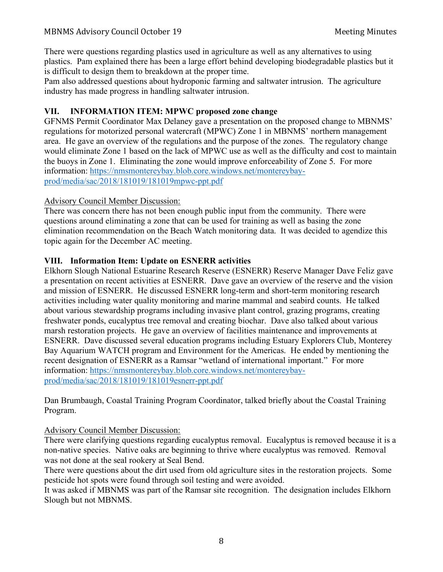There were questions regarding plastics used in agriculture as well as any alternatives to using plastics. Pam explained there has been a large effort behind developing biodegradable plastics but it is difficult to design them to breakdown at the proper time.

Pam also addressed questions about hydroponic farming and saltwater intrusion. The agriculture industry has made progress in handling saltwater intrusion.

## **VII. INFORMATION ITEM: MPWC proposed zone change**

GFNMS Permit Coordinator Max Delaney gave a presentation on the proposed change to MBNMS' regulations for motorized personal watercraft (MPWC) Zone 1 in MBNMS' northern management area. He gave an overview of the regulations and the purpose of the zones. The regulatory change would eliminate Zone 1 based on the lack of MPWC use as well as the difficulty and cost to maintain the buoys in Zone 1. Eliminating the zone would improve enforceability of Zone 5. For more information: https://nmsmontereybay.blob.core.windows.net/montereybayprod/media/sac/2018/181019/181019mpwc-ppt.pdf

#### Advisory Council Member Discussion:

There was concern there has not been enough public input from the community. There were questions around eliminating a zone that can be used for training as well as basing the zone elimination recommendation on the Beach Watch monitoring data. It was decided to agendize this topic again for the December AC meeting.

#### **VIII. Information Item: Update on ESNERR activities**

Elkhorn Slough National Estuarine Research Reserve (ESNERR) Reserve Manager Dave Feliz gave a presentation on recent activities at ESNERR. Dave gave an overview of the reserve and the vision and mission of ESNERR. He discussed ESNERR long-term and short-term monitoring research activities including water quality monitoring and marine mammal and seabird counts. He talked about various stewardship programs including invasive plant control, grazing programs, creating freshwater ponds, eucalyptus tree removal and creating biochar. Dave also talked about various marsh restoration projects. He gave an overview of facilities maintenance and improvements at ESNERR. Dave discussed several education programs including Estuary Explorers Club, Monterey Bay Aquarium WATCH program and Environment for the Americas. He ended by mentioning the recent designation of ESNERR as a Ramsar "wetland of international important." For more information: https://nmsmontereybay.blob.core.windows.net/montereybayprod/media/sac/2018/181019/181019esnerr-ppt.pdf

Dan Brumbaugh, Coastal Training Program Coordinator, talked briefly about the Coastal Training Program.

## Advisory Council Member Discussion:

There were clarifying questions regarding eucalyptus removal. Eucalyptus is removed because it is a non-native species. Native oaks are beginning to thrive where eucalyptus was removed. Removal was not done at the seal rookery at Seal Bend.

There were questions about the dirt used from old agriculture sites in the restoration projects. Some pesticide hot spots were found through soil testing and were avoided.

It was asked if MBNMS was part of the Ramsar site recognition. The designation includes Elkhorn Slough but not MBNMS.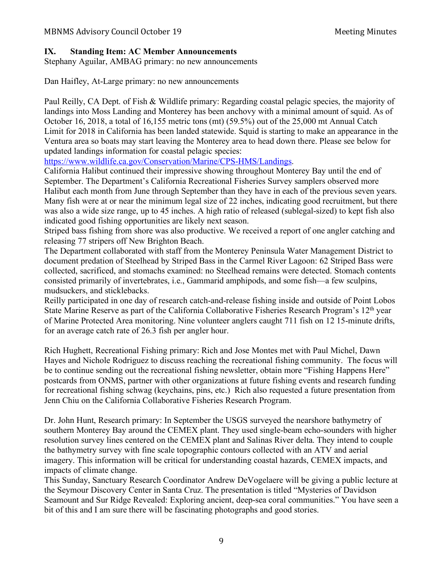## **IX. Standing Item: AC Member Announcements**

Stephany Aguilar, AMBAG primary: no new announcements

Dan Haifley, At-Large primary: no new announcements

Paul Reilly, CA Dept. of Fish & Wildlife primary: Regarding coastal pelagic species, the majority of landings into Moss Landing and Monterey has been anchovy with a minimal amount of squid. As of October 16, 2018, a total of 16,155 metric tons (mt) (59.5%) out of the 25,000 mt Annual Catch Limit for 2018 in California has been landed statewide. Squid is starting to make an appearance in the Ventura area so boats may start leaving the Monterey area to head down there. Please see below for updated landings information for coastal pelagic species:

https://www.wildlife.ca.gov/Conservation/Marine/CPS-HMS/Landings.

California Halibut continued their impressive showing throughout Monterey Bay until the end of September. The Department's California Recreational Fisheries Survey samplers observed more Halibut each month from June through September than they have in each of the previous seven years. Many fish were at or near the minimum legal size of 22 inches, indicating good recruitment, but there was also a wide size range, up to 45 inches. A high ratio of released (sublegal-sized) to kept fish also indicated good fishing opportunities are likely next season.

Striped bass fishing from shore was also productive. We received a report of one angler catching and releasing 77 stripers off New Brighton Beach.

The Department collaborated with staff from the Monterey Peninsula Water Management District to document predation of Steelhead by Striped Bass in the Carmel River Lagoon: 62 Striped Bass were collected, sacrificed, and stomachs examined: no Steelhead remains were detected. Stomach contents consisted primarily of invertebrates, i.e., Gammarid amphipods, and some fish—a few sculpins, mudsuckers, and sticklebacks.

Reilly participated in one day of research catch-and-release fishing inside and outside of Point Lobos State Marine Reserve as part of the California Collaborative Fisheries Research Program's 12<sup>th</sup> year of Marine Protected Area monitoring. Nine volunteer anglers caught 711 fish on 12 15-minute drifts, for an average catch rate of 26.3 fish per angler hour.

Rich Hughett, Recreational Fishing primary: Rich and Jose Montes met with Paul Michel, Dawn Hayes and Nichole Rodriguez to discuss reaching the recreational fishing community. The focus will be to continue sending out the recreational fishing newsletter, obtain more "Fishing Happens Here" postcards from ONMS, partner with other organizations at future fishing events and research funding for recreational fishing schwag (keychains, pins, etc.) Rich also requested a future presentation from Jenn Chiu on the California Collaborative Fisheries Research Program.

Dr. John Hunt, Research primary: In September the USGS surveyed the nearshore bathymetry of southern Monterey Bay around the CEMEX plant. They used single-beam echo-sounders with higher resolution survey lines centered on the CEMEX plant and Salinas River delta. They intend to couple the bathymetry survey with fine scale topographic contours collected with an ATV and aerial imagery. This information will be critical for understanding coastal hazards, CEMEX impacts, and impacts of climate change.

This Sunday, Sanctuary Research Coordinator Andrew DeVogelaere will be giving a public lecture at the Seymour Discovery Center in Santa Cruz. The presentation is titled "Mysteries of Davidson Seamount and Sur Ridge Revealed: Exploring ancient, deep-sea coral communities." You have seen a bit of this and I am sure there will be fascinating photographs and good stories.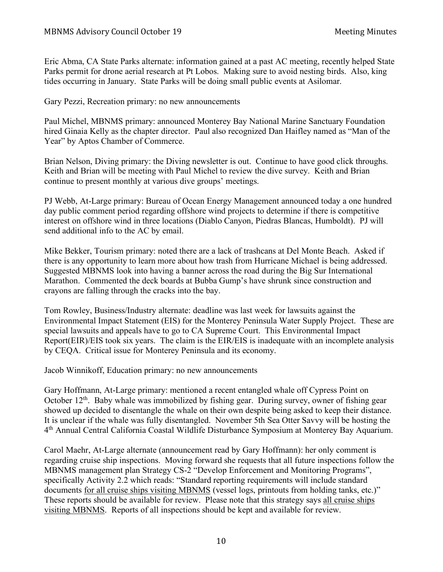Eric Abma, CA State Parks alternate: information gained at a past AC meeting, recently helped State Parks permit for drone aerial research at Pt Lobos. Making sure to avoid nesting birds. Also, king tides occurring in January. State Parks will be doing small public events at Asilomar.

Gary Pezzi, Recreation primary: no new announcements

Paul Michel, MBNMS primary: announced Monterey Bay National Marine Sanctuary Foundation hired Ginaia Kelly as the chapter director. Paul also recognized Dan Haifley named as "Man of the Year" by Aptos Chamber of Commerce.

Brian Nelson, Diving primary: the Diving newsletter is out. Continue to have good click throughs. Keith and Brian will be meeting with Paul Michel to review the dive survey. Keith and Brian continue to present monthly at various dive groups' meetings.

PJ Webb, At-Large primary: Bureau of Ocean Energy Management announced today a one hundred day public comment period regarding offshore wind projects to determine if there is competitive interest on offshore wind in three locations (Diablo Canyon, Piedras Blancas, Humboldt). PJ will send additional info to the AC by email.

Mike Bekker, Tourism primary: noted there are a lack of trashcans at Del Monte Beach. Asked if there is any opportunity to learn more about how trash from Hurricane Michael is being addressed. Suggested MBNMS look into having a banner across the road during the Big Sur International Marathon. Commented the deck boards at Bubba Gump's have shrunk since construction and crayons are falling through the cracks into the bay.

Tom Rowley, Business/Industry alternate: deadline was last week for lawsuits against the Environmental Impact Statement (EIS) for the Monterey Peninsula Water Supply Project. These are special lawsuits and appeals have to go to CA Supreme Court. This Environmental Impact Report(EIR)/EIS took six years. The claim is the EIR/EIS is inadequate with an incomplete analysis by CEQA. Critical issue for Monterey Peninsula and its economy.

Jacob Winnikoff, Education primary: no new announcements

Gary Hoffmann, At-Large primary: mentioned a recent entangled whale off Cypress Point on October  $12<sup>th</sup>$ . Baby whale was immobilized by fishing gear. During survey, owner of fishing gear showed up decided to disentangle the whale on their own despite being asked to keep their distance. It is unclear if the whale was fully disentangled. November 5th Sea Otter Savvy will be hosting the 4th Annual Central California Coastal Wildlife Disturbance Symposium at Monterey Bay Aquarium.

Carol Maehr, At-Large alternate (announcement read by Gary Hoffmann): her only comment is regarding cruise ship inspections. Moving forward she requests that all future inspections follow the MBNMS management plan Strategy CS-2 "Develop Enforcement and Monitoring Programs", specifically Activity 2.2 which reads: "Standard reporting requirements will include standard documents for all cruise ships visiting MBNMS (vessel logs, printouts from holding tanks, etc.)" These reports should be available for review. Please note that this strategy says all cruise ships visiting MBNMS. Reports of all inspections should be kept and available for review.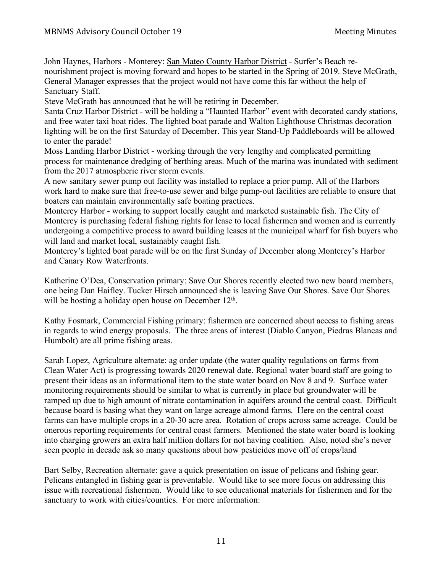John Haynes, Harbors - Monterey: San Mateo County Harbor District - Surfer's Beach renourishment project is moving forward and hopes to be started in the Spring of 2019. Steve McGrath, General Manager expresses that the project would not have come this far without the help of Sanctuary Staff.

Steve McGrath has announced that he will be retiring in December.

Santa Cruz Harbor District - will be holding a "Haunted Harbor" event with decorated candy stations, and free water taxi boat rides. The lighted boat parade and Walton Lighthouse Christmas decoration lighting will be on the first Saturday of December. This year Stand-Up Paddleboards will be allowed to enter the parade!

Moss Landing Harbor District - working through the very lengthy and complicated permitting process for maintenance dredging of berthing areas. Much of the marina was inundated with sediment from the 2017 atmospheric river storm events.

A new sanitary sewer pump out facility was installed to replace a prior pump. All of the Harbors work hard to make sure that free-to-use sewer and bilge pump-out facilities are reliable to ensure that boaters can maintain environmentally safe boating practices.

Monterey Harbor - working to support locally caught and marketed sustainable fish. The City of Monterey is purchasing federal fishing rights for lease to local fishermen and women and is currently undergoing a competitive process to award building leases at the municipal wharf for fish buyers who will land and market local, sustainably caught fish.

Monterey's lighted boat parade will be on the first Sunday of December along Monterey's Harbor and Canary Row Waterfronts.

Katherine O'Dea, Conservation primary: Save Our Shores recently elected two new board members, one being Dan Haifley. Tucker Hirsch announced she is leaving Save Our Shores. Save Our Shores will be hosting a holiday open house on December  $12<sup>th</sup>$ .

Kathy Fosmark, Commercial Fishing primary: fishermen are concerned about access to fishing areas in regards to wind energy proposals. The three areas of interest (Diablo Canyon, Piedras Blancas and Humbolt) are all prime fishing areas.

Sarah Lopez, Agriculture alternate: ag order update (the water quality regulations on farms from Clean Water Act) is progressing towards 2020 renewal date. Regional water board staff are going to present their ideas as an informational item to the state water board on Nov 8 and 9. Surface water monitoring requirements should be similar to what is currently in place but groundwater will be ramped up due to high amount of nitrate contamination in aquifers around the central coast. Difficult because board is basing what they want on large acreage almond farms. Here on the central coast farms can have multiple crops in a 20-30 acre area. Rotation of crops across same acreage. Could be onerous reporting requirements for central coast farmers. Mentioned the state water board is looking into charging growers an extra half million dollars for not having coalition. Also, noted she's never seen people in decade ask so many questions about how pesticides move off of crops/land

Bart Selby, Recreation alternate: gave a quick presentation on issue of pelicans and fishing gear. Pelicans entangled in fishing gear is preventable. Would like to see more focus on addressing this issue with recreational fishermen. Would like to see educational materials for fishermen and for the sanctuary to work with cities/counties. For more information: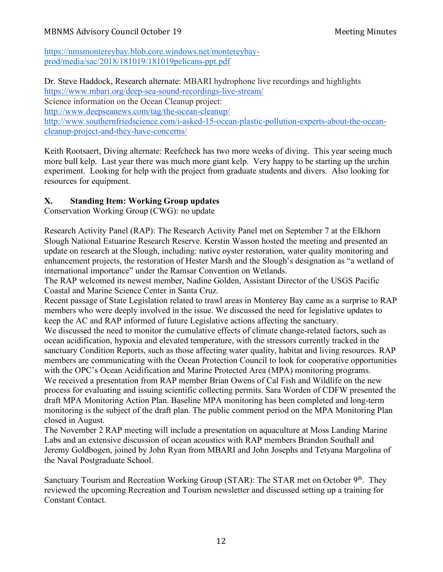https://nmsmontereybay.blob.core.windows.net/montereybayprod/media/sac/2018/181019/181019pelicans-ppt.pdf

Dr. Steve Haddock, Research alternate: MBARI hydrophone live recordings and highlights https://www.mbari.org/deep-sea-sound-recordings-live-stream/ Science information on the Ocean Cleanup project: http://www.deepseanews.com/tag/the-ocean-cleanup/ http://www.southernfriedscience.com/i-asked-15-ocean-plastic-pollution-experts-about-the-oceancleanup-project-and-they-have-concerns/

Keith Rootsaert, Diving alternate: Reefcheck has two more weeks of diving. This year seeing much more bull kelp. Last year there was much more giant kelp. Very happy to be starting up the urchin experiment. Looking for help with the project from graduate students and divers. Also looking for resources for equipment.

# **X. Standing Item: Working Group updates**

Conservation Working Group (CWG): no update

Research Activity Panel (RAP): The Research Activity Panel met on September 7 at the Elkhorn Slough National Estuarine Research Reserve. Kerstin Wasson hosted the meeting and presented an update on research at the Slough, including: native oyster restoration, water quality monitoring and enhancement projects, the restoration of Hester Marsh and the Slough's designation as "a wetland of international importance" under the Ramsar Convention on Wetlands.

The RAP welcomed its newest member, Nadine Golden, Assistant Director of the USGS Pacific Coastal and Marine Science Center in Santa Cruz.

Recent passage of State Legislation related to trawl areas in Monterey Bay came as a surprise to RAP members who were deeply involved in the issue. We discussed the need for legislative updates to keep the AC and RAP informed of future Legislative actions affecting the sanctuary.

We discussed the need to monitor the cumulative effects of climate change-related factors, such as ocean acidification, hypoxia and elevated temperature, with the stressors currently tracked in the sanctuary Condition Reports, such as those affecting water quality, habitat and living resources. RAP members are communicating with the Ocean Protection Council to look for cooperative opportunities with the OPC's Ocean Acidification and Marine Protected Area (MPA) monitoring programs. We received a presentation from RAP member Brian Owens of Cal Fish and Wildlife on the new process for evaluating and issuing scientific collecting permits. Sara Worden of CDFW presented the draft MPA Monitoring Action Plan. Baseline MPA monitoring has been completed and long-term monitoring is the subject of the draft plan. The public comment period on the MPA Monitoring Plan closed in August.

The November 2 RAP meeting will include a presentation on aquaculture at Moss Landing Marine Labs and an extensive discussion of ocean acoustics with RAP members Brandon Southall and Jeremy Goldbogen, joined by John Ryan from MBARI and John Josephs and Tetyana Margolina of the Naval Postgraduate School.

Sanctuary Tourism and Recreation Working Group (STAR): The STAR met on October 9<sup>th</sup>. They reviewed the upcoming Recreation and Tourism newsletter and discussed setting up a training for Constant Contact.